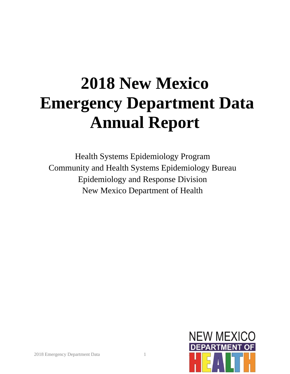# **2018 New Mexico Emergency Department Data Annual Report**

Health Systems Epidemiology Program Community and Health Systems Epidemiology Bureau Epidemiology and Response Division New Mexico Department of Health

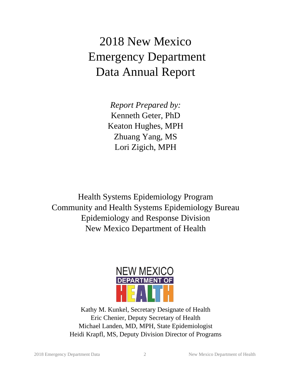## 2018 New Mexico Emergency Department Data Annual Report

*Report Prepared by:* Kenneth Geter, PhD Keaton Hughes, MPH Zhuang Yang, MS Lori Zigich, MPH

Health Systems Epidemiology Program Community and Health Systems Epidemiology Bureau Epidemiology and Response Division New Mexico Department of Health



Kathy M. Kunkel, Secretary Designate of Health Eric Chenier, Deputy Secretary of Health Michael Landen, MD, MPH, State Epidemiologist Heidi Krapfl, MS, Deputy Division Director of Programs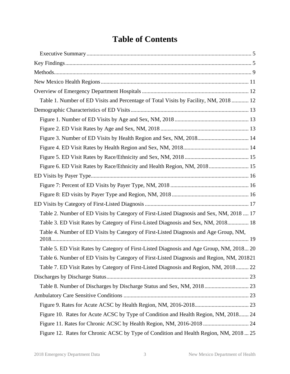### **Table of Contents**

| Table 1. Number of ED Visits and Percentage of Total Visits by Facility, NM, 2018  12     |  |
|-------------------------------------------------------------------------------------------|--|
|                                                                                           |  |
|                                                                                           |  |
|                                                                                           |  |
| Figure 3. Number of ED Visits by Health Region and Sex, NM, 2018 14                       |  |
|                                                                                           |  |
|                                                                                           |  |
| Figure 6. ED Visit Rates by Race/Ethnicity and Health Region, NM, 2018 15                 |  |
|                                                                                           |  |
|                                                                                           |  |
|                                                                                           |  |
|                                                                                           |  |
| Table 2. Number of ED Visits by Category of First-Listed Diagnosis and Sex, NM, 2018  17  |  |
| Table 3. ED Visit Rates by Category of First-Listed Diagnosis and Sex, NM, 2018 18        |  |
| Table 4. Number of ED Visits by Category of First-Listed Diagnosis and Age Group, NM,     |  |
| Table 5. ED Visit Rates by Category of First-Listed Diagnosis and Age Group, NM, 2018 20  |  |
| Table 6. Number of ED Visits by Category of First-Listed Diagnosis and Region, NM, 201821 |  |
| Table 7. ED Visit Rates by Category of First-Listed Diagnosis and Region, NM, 2018 22     |  |
|                                                                                           |  |
| Table 8. Number of Discharges by Discharge Status and Sex, NM, 2018  23                   |  |
|                                                                                           |  |
|                                                                                           |  |
| Figure 10. Rates for Acute ACSC by Type of Condition and Health Region, NM, 2018 24       |  |
|                                                                                           |  |
| Figure 12. Rates for Chronic ACSC by Type of Condition and Health Region, NM, 2018  25    |  |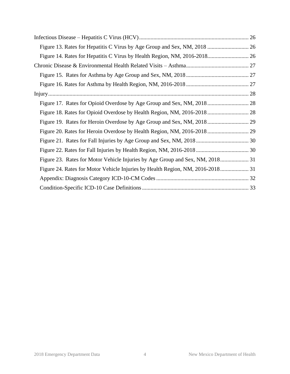| Figure 20. Rates for Heroin Overdose by Health Region, NM, 2016-2018 29        |  |
|--------------------------------------------------------------------------------|--|
|                                                                                |  |
|                                                                                |  |
| Figure 23. Rates for Motor Vehicle Injuries by Age Group and Sex, NM, 2018 31  |  |
| Figure 24. Rates for Motor Vehicle Injuries by Health Region, NM, 2016-2018 31 |  |
|                                                                                |  |
|                                                                                |  |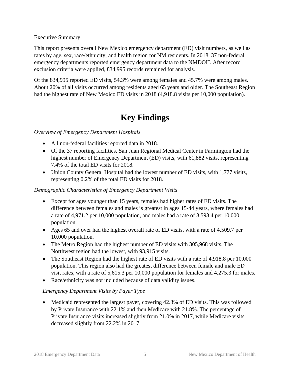<span id="page-4-0"></span>Executive Summary

This report presents overall New Mexico emergency department (ED) visit numbers, as well as rates by age, sex, race/ethnicity, and health region for NM residents. In 2018, 37 non-federal emergency departments reported emergency department data to the NMDOH. After record exclusion criteria were applied, 834,995 records remained for analysis.

Of the 834,995 reported ED visits, 54.3% were among females and 45.7% were among males. About 20% of all visits occurred among residents aged 65 years and older. The Southeast Region had the highest rate of New Mexico ED visits in 2018 (4,918.8 visits per 10,000 population).

#### **Key Findings**

#### <span id="page-4-1"></span>*Overview of Emergency Department Hospitals*

- All non-federal facilities reported data in 2018.
- Of the 37 reporting facilities, San Juan Regional Medical Center in Farmington had the highest number of Emergency Department (ED) visits, with 61,882 visits, representing 7.4% of the total ED visits for 2018.
- Union County General Hospital had the lowest number of ED visits, with 1,777 visits, representing 0.2% of the total ED visits for 2018.

#### *Demographic Characteristics of Emergency Department Visits*

- Except for ages younger than 15 years, females had higher rates of ED visits. The difference between females and males is greatest in ages 15-44 years, where females had a rate of 4,971.2 per 10,000 population, and males had a rate of 3,593.4 per 10,000 population.
- Ages 65 and over had the highest overall rate of ED visits, with a rate of 4,509.7 per 10,000 population.
- The Metro Region had the highest number of ED visits with 305,968 visits. The Northwest region had the lowest, with 93,915 visits.
- The Southeast Region had the highest rate of ED visits with a rate of 4,918.8 per 10,000 population. This region also had the greatest difference between female and male ED visit rates, with a rate of 5,615.3 per 10,000 population for females and 4,275.3 for males.
- Race/ethnicity was not included because of data validity issues.

#### *Emergency Department Visits by Payer Type*

• Medicaid represented the largest payer, covering 42.3% of ED visits. This was followed by Private Insurance with 22.1% and then Medicare with 21.8%. The percentage of Private Insurance visits increased slightly from 21.0% in 2017, while Medicare visits decreased slightly from 22.2% in 2017.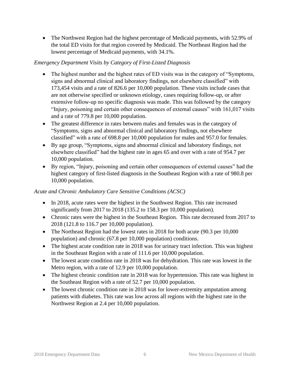• The Northwest Region had the highest percentage of Medicaid payments, with 52.9% of the total ED visits for that region covered by Medicaid. The Northeast Region had the lowest percentage of Medicaid payments, with 34.1%.

#### *Emergency Department Visits by Category of First-Listed Diagnosis*

- The highest number and the highest rates of ED visits was in the category of "Symptoms, signs and abnormal clinical and laboratory findings, not elsewhere classified" with 173,454 visits and a rate of 826.6 per 10,000 population. These visits include cases that are not otherwise specified or unknown etiology, cases requiring follow-up, or after extensive follow-up no specific diagnosis was made. This was followed by the category "Injury, poisoning and certain other consequences of external causes" with 161,017 visits and a rate of 779.8 per 10,000 population.
- The greatest difference in rates between males and females was in the category of "Symptoms, signs and abnormal clinical and laboratory findings, not elsewhere classified" with a rate of 698.8 per 10,000 population for males and 957.0 for females.
- By age group, "Symptoms, signs and abnormal clinical and laboratory findings, not elsewhere classified" had the highest rate in ages 65 and over with a rate of 954.7 per 10,000 population.
- By region, "Injury, poisoning and certain other consequences of external causes" had the highest category of first-listed diagnosis in the Southeast Region with a rate of 980.8 per 10,000 population.

#### *Acute and Chronic Ambulatory Care Sensitive Conditions (ACSC)*

- In 2018, acute rates were the highest in the Southwest Region. This rate increased significantly from 2017 to 2018 (135.2 to 158.3 per 10,000 population).
- Chronic rates were the highest in the Southeast Region. This rate decreased from 2017 to 2018 (121.8 to 116.7 per 10,000 population).
- The Northeast Region had the lowest rates in 2018 for both acute (90.3 per 10,000) population) and chronic (67.8 per 10,000 population) conditions.
- The highest acute condition rate in 2018 was for urinary tract infection. This was highest in the Southeast Region with a rate of 111.6 per 10,000 population.
- The lowest acute condition rate in 2018 was for dehydration. This rate was lowest in the Metro region, with a rate of 12.9 per 10,000 population.
- The highest chronic condition rate in 2018 was for hypertension. This rate was highest in the Southeast Region with a rate of 52.7 per 10,000 population.
- The lowest chronic condition rate in 2018 was for lower-extremity amputation among patients with diabetes. This rate was low across all regions with the highest rate in the Northwest Region at 2.4 per 10,000 population.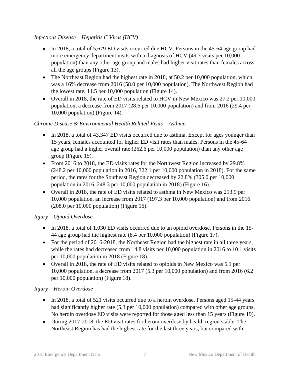#### *Infectious Disease – Hepatitis C Virus (HCV)*

- In 2018, a total of 5,679 ED visits occurred due HCV. Persons in the 45-64 age group had more emergency department visits with a diagnosis of HCV (49.7 visits per 10,000 population) than any other age group and males had higher visit rates than females across all the age groups (Figure 13).
- The Northeast Region had the highest rate in 2018, at 50.2 per 10,000 population, which was a 16% decrease from 2016 (58.0 per 10,000 population). The Northwest Region had the lowest rate, 11.5 per 10,000 population (Figure 14).
- Overall in 2018, the rate of ED visits related to HCV in New Mexico was 27.2 per 10,000 population, a decrease from 2017 (28.6 per 10,000 population) and from 2016 (29.4 per 10,000 population) (Figure 14).

#### *Chronic Disease & Environmental Health Related Visits – Asthma*

- In 2018, a total of 43,347 ED visits occurred due to asthma. Except for ages younger than 15 years, females accounted for higher ED visit rates than males. Persons in the 45-64 age group had a higher overall rate (262.6 per 10,000 population) than any other age group (Figure 15).
- From 2016 to 2018, the ED visits rates for the Northwest Region increased by 29.8% (248.2 per 10,000 population in 2016, 322.1 per 10,000 population in 2018). For the same period, the rates for the Southeast Region decreased by 22.8% (305.0 per 10,000 population in 2016, 248.3 per 10,000 population in 2018) (Figure 16).
- Overall in 2018, the rate of ED visits related to asthma in New Mexico was 213.9 per 10,000 population, an increase from 2017 (197.3 per 10,000 population) and from 2016 (208.0 per 10,000 population) (Figure 16).

#### *Injury – Opioid Overdose*

- In 2018, a total of 1,030 ED visits occurred due to an opioid overdose. Persons in the 15-44 age group had the highest rate (8.4 per 10,000 population) (Figure 17).
- For the period of 2016-2018, the Northeast Region had the highest rate in all three years, while the rates had decreased from 14.8 visits per 10,000 population in 2016 to 10.1 visits per 10,000 population in 2018 (Figure 18).
- Overall in 2018, the rate of ED visits related to opioids in New Mexico was 5.1 per 10,000 population, a decrease from 2017 (5.3 per 10,000 population) and from 2016 (6.2 per 10,000 population) (Figure 18).

#### *Injury – Heroin Overdose*

- In 2018, a total of 521 visits occurred due to a heroin overdose. Persons aged 15-44 years had significantly higher rate (5.3 per 10,000 population) compared with other age groups. No heroin overdose ED visits were reported for those aged less than 15 years (Figure 19).
- During 2017-2018, the ED visit rates for heroin overdose by health region stable. The Northeast Region has had the highest rate for the last three years, but compared with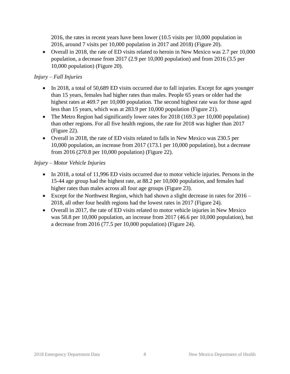2016, the rates in recent years have been lower (10.5 visits per 10,000 population in 2016, around 7 visits per 10,000 population in 2017 and 2018) (Figure 20).

• Overall in 2018, the rate of ED visits related to heroin in New Mexico was 2.7 per 10,000 population, a decrease from 2017 (2.9 per 10,000 population) and from 2016 (3.5 per 10,000 population) (Figure 20).

#### *Injury – Fall Injuries*

- In 2018, a total of 50,689 ED visits occurred due to fall injuries. Except for ages younger than 15 years, females had higher rates than males. People 65 years or older had the highest rates at 469.7 per 10,000 population. The second highest rate was for those aged less than 15 years, which was at 283.9 per 10,000 population (Figure 21).
- The Metro Region had significantly lower rates for 2018 (169.3 per 10,000 population) than other regions. For all five health regions, the rate for 2018 was higher than 2017 (Figure 22).
- Overall in 2018, the rate of ED visits related to falls in New Mexico was 230.5 per 10,000 population, an increase from 2017 (173.1 per 10,000 population), but a decrease from 2016 (270.8 per 10,000 population) (Figure 22).

#### *Injury – Motor Vehicle Injuries*

- In 2018, a total of 11,996 ED visits occurred due to motor vehicle injuries. Persons in the 15-44 age group had the highest rate, at 88.2 per 10,000 population, and females had higher rates than males across all four age groups (Figure 23).
- Except for the Northwest Region, which had shown a slight decrease in rates for 2016 2018, all other four health regions had the lowest rates in 2017 (Figure 24).
- Overall in 2017, the rate of ED visits related to motor vehicle injuries in New Mexico was 58.8 per 10,000 population, an increase from 2017 (46.6 per 10,000 population), but a decrease from 2016 (77.5 per 10,000 population) (Figure 24).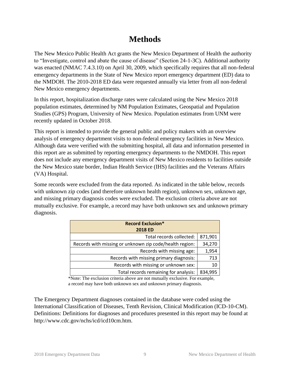#### **Methods**

<span id="page-8-0"></span>The New Mexico Public Health Act grants the New Mexico Department of Health the authority to "Investigate, control and abate the cause of disease" (Section 24-1-3C). Additional authority was enacted (NMAC 7.4.3.10) on April 30, 2009, which specifically requires that all non-federal emergency departments in the State of New Mexico report emergency department (ED) data to the NMDOH. The 2010-2018 ED data were requested annually via letter from all non-federal New Mexico emergency departments.

In this report, hospitalization discharge rates were calculated using the New Mexico 2018 population estimates, determined by NM Population Estimates, Geospatial and Population Studies (GPS) Program, University of New Mexico. Population estimates from UNM were recently updated in October 2018.

This report is intended to provide the general public and policy makers with an overview analysis of emergency department visits to non-federal emergency facilities in New Mexico. Although data were verified with the submitting hospital, all data and information presented in this report are as submitted by reporting emergency departments to the NMDOH. This report does not include any emergency department visits of New Mexico residents to facilities outside the New Mexico state border, Indian Health Service (IHS) facilities and the Veterans Affairs (VA) Hospital.

Some records were excluded from the data reported. As indicated in the table below, records with unknown zip codes (and therefore unknown health region), unknown sex, unknown age, and missing primary diagnosis codes were excluded. The exclusion criteria above are not mutually exclusive. For example, a record may have both unknown sex and unknown primary diagnosis.

| <b>Record Exclusion*</b>                                |         |  |  |  |
|---------------------------------------------------------|---------|--|--|--|
| <b>2018 ED</b>                                          |         |  |  |  |
| Total records collected:                                | 871,901 |  |  |  |
| Records with missing or unknown zip code/health region: | 34,270  |  |  |  |
| Records with missing age:                               | 1,954   |  |  |  |
| Records with missing primary diagnosis:                 | 713     |  |  |  |
| Records with missing or unknown sex:                    | 10      |  |  |  |
| Total records remaining for analysis:                   | 834,995 |  |  |  |

\*Note: The exclusion criteria above are not mutually exclusive. For example, a record may have both unknown sex and unknown primary diagnosis.

The Emergency Department diagnoses contained in the database were coded using the International Classification of Diseases, Tenth Revision, Clinical Modification (ICD-10-CM). Definitions: Definitions for diagnoses and procedures presented in this report may be found at http://www.cdc.gov/nchs/icd/icd10cm.htm.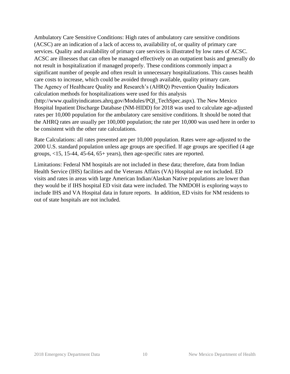Ambulatory Care Sensitive Conditions: High rates of ambulatory care sensitive conditions (ACSC) are an indication of a lack of access to, availability of, or quality of primary care services. Quality and availability of primary care services is illustrated by low rates of ACSC. ACSC are illnesses that can often be managed effectively on an outpatient basis and generally do not result in hospitalization if managed properly. These conditions commonly impact a significant number of people and often result in unnecessary hospitalizations. This causes health care costs to increase, which could be avoided through available, quality primary care. The Agency of Healthcare Quality and Research's (AHRQ) Prevention Quality Indicators calculation methods for hospitalizations were used for this analysis (http://www.qualityindicators.ahrq.gov/Modules/PQI\_TechSpec.aspx). The New Mexico Hospital Inpatient Discharge Database (NM-HIDD) for 2018 was used to calculate age-adjusted rates per 10,000 population for the ambulatory care sensitive conditions. It should be noted that the AHRQ rates are usually per 100,000 population; the rate per 10,000 was used here in order to be consistent with the other rate calculations.

Rate Calculations: all rates presented are per 10,000 population. Rates were age-adjusted to the 2000 U.S. standard population unless age groups are specified. If age groups are specified (4 age groups, <15, 15-44, 45-64, 65+ years), then age-specific rates are reported.

Limitations: Federal NM hospitals are not included in these data; therefore, data from Indian Health Service (IHS) facilities and the Veterans Affairs (VA) Hospital are not included. ED visits and rates in areas with large American Indian/Alaskan Native populations are lower than they would be if IHS hospital ED visit data were included. The NMDOH is exploring ways to include IHS and VA Hospital data in future reports. In addition, ED visits for NM residents to out of state hospitals are not included.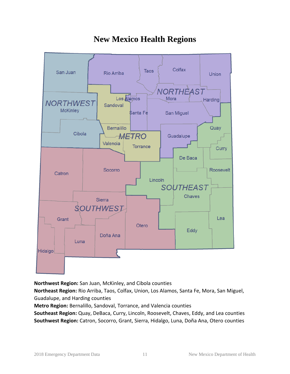<span id="page-10-0"></span>

### **New Mexico Health Regions**

**Northwest Region:** San Juan, McKinley, and Cibola counties

**Northeast Region:** Rio Arriba, Taos, Colfax, Union, Los Alamos, Santa Fe, Mora, San Miguel, Guadalupe, and Harding counties

**Metro Region:** Bernalillo, Sandoval, Torrance, and Valencia counties

**Southeast Region:** Quay, DeBaca, Curry, Lincoln, Roosevelt, Chaves, Eddy, and Lea counties **Southwest Region:** Catron, Socorro, Grant, Sierra, Hidalgo, Luna, Doña Ana, Otero counties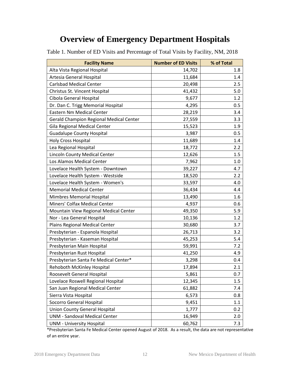#### **Overview of Emergency Department Hospitals**

| <b>Facility Name</b>                    | <b>Number of ED Visits</b> | % of Total |
|-----------------------------------------|----------------------------|------------|
| Alta Vista Regional Hospital            | 14,702                     | 1.8        |
| Artesia General Hospital                | 11,684                     | 1.4        |
| <b>Carlsbad Medical Center</b>          | 20,498                     | 2.5        |
| Christus St. Vincent Hospital           | 41,432                     | 5.0        |
| Cibola General Hospital                 | 9,677                      | 1.2        |
| Dr. Dan C. Trigg Memorial Hospital      | 4,295                      | 0.5        |
| Eastern Nm Medical Center               | 28,219                     | 3.4        |
| Gerald Champion Regional Medical Center | 27,559                     | 3.3        |
| Gila Regional Medical Center            | 15,523                     | 1.9        |
| <b>Guadalupe County Hospital</b>        | 3,987                      | 0.5        |
| <b>Holy Cross Hospital</b>              | 11,689                     | 1.4        |
| Lea Regional Hospital                   | 18,772                     | 2.2        |
| Lincoln County Medical Center           | 12,626                     | 1.5        |
| Los Alamos Medical Center               | 7,962                      | 1.0        |
| Lovelace Health System - Downtown       | 39,227                     | 4.7        |
| Lovelace Health System - Westside       | 18,520                     | 2.2        |
| Lovelace Health System - Women's        | 33,597                     | 4.0        |
| <b>Memorial Medical Center</b>          | 36,434                     | 4.4        |
| Mimbres Memorial Hospital               | 13,490                     | 1.6        |
| Miners' Colfax Medical Center           | 4,937                      | 0.6        |
| Mountain View Regional Medical Center   | 49,350                     | 5.9        |
| Nor - Lea General Hospital              | 10,136                     | 1.2        |
| Plains Regional Medical Center          | 30,680                     | 3.7        |
| Presbyterian - Espanola Hospital        | 26,713                     | 3.2        |
| Presbyterian - Kaseman Hospital         | 45,253                     | 5.4        |
| Presbyterian Main Hospital              | 59,991                     | 7.2        |
| Presbyterian Rust Hospital              | 41,250                     | 4.9        |
| Presbyterian Santa Fe Medical Center*   | 3,298                      | 0.4        |
| Rehoboth McKinley Hospital              | 17,894                     | 2.1        |
| Roosevelt General Hospital              | 5,861                      | 0.7        |
| Lovelace Roswell Regional Hospital      | 12,345                     | 1.5        |
| San Juan Regional Medical Center        | 61,882                     | 7.4        |
| Sierra Vista Hospital                   | 6,573                      | 0.8        |
| Socorro General Hospital                | 9,451                      | 1.1        |
| <b>Union County General Hospital</b>    | 1,777                      | 0.2        |
| <b>UNM - Sandoval Medical Center</b>    | 16,949                     | 2.0        |
| <b>UNM - University Hospital</b>        | 60,762                     | 7.3        |

<span id="page-11-1"></span><span id="page-11-0"></span>Table 1. Number of ED Visits and Percentage of Total Visits by Facility, NM, 2018

\*Presbyterian Santa Fe Medical Center opened August of 2018. As a result, the data are not representative of an entire year.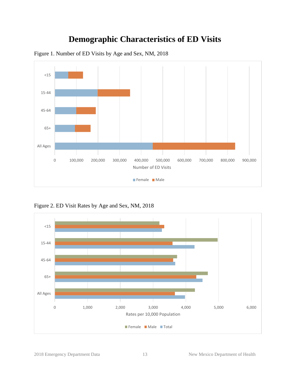### **Demographic Characteristics of ED Visits**



<span id="page-12-1"></span><span id="page-12-0"></span>Figure 1. Number of ED Visits by Age and Sex, NM, 2018

<span id="page-12-2"></span>Figure 2. ED Visit Rates by Age and Sex, NM, 2018

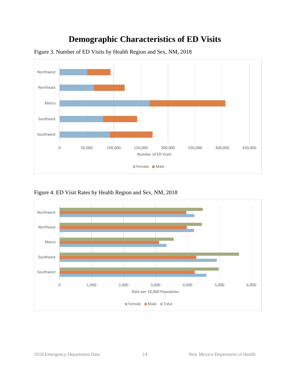### **Demographic Characteristics of ED Visits**



<span id="page-13-0"></span>Figure 3. Number of ED Visits by Health Region and Sex, NM, 2018

<span id="page-13-1"></span>Figure 4. ED Visit Rates by Health Region and Sex, NM, 2018

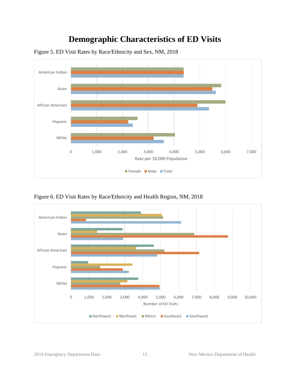### **Demographic Characteristics of ED Visits**



<span id="page-14-0"></span>Figure 5. ED Visit Rates by Race/Ethnicity and Sex, NM, 2018

<span id="page-14-1"></span>Figure 6. ED Visit Rates by Race/Ethnicity and Health Region, NM, 2018

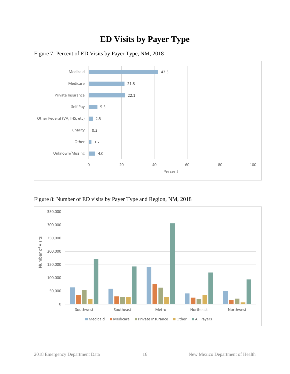### **ED Visits by Payer Type**



<span id="page-15-1"></span><span id="page-15-0"></span>

<span id="page-15-2"></span>Figure 8: Number of ED visits by Payer Type and Region, NM, 2018

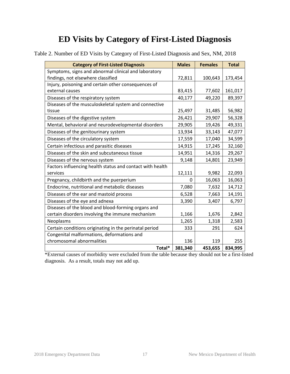<span id="page-16-1"></span><span id="page-16-0"></span>

| Table 2. Number of ED Visits by Category of First-Listed Diagnosis and Sex, NM, 2018 |  |
|--------------------------------------------------------------------------------------|--|
|--------------------------------------------------------------------------------------|--|

| <b>Category of First-Listed Diagnosis</b>                 | <b>Males</b> | <b>Females</b> | <b>Total</b> |
|-----------------------------------------------------------|--------------|----------------|--------------|
| Symptoms, signs and abnormal clinical and laboratory      |              |                |              |
| findings, not elsewhere classified                        | 72,811       | 100,643        | 173,454      |
| Injury, poisoning and certain other consequences of       |              |                |              |
| external causes                                           | 83,415       | 77,602         | 161,017      |
| Diseases of the respiratory system                        | 40,177       | 49,220         | 89,397       |
| Diseases of the musculoskeletal system and connective     |              |                |              |
| tissue                                                    | 25,497       | 31,485         | 56,982       |
| Diseases of the digestive system                          | 26,421       | 29,907         | 56,328       |
| Mental, behavioral and neurodevelopmental disorders       | 29,905       | 19,426         | 49,331       |
| Diseases of the genitourinary system                      | 13,934       | 33,143         | 47,077       |
| Diseases of the circulatory system                        | 17,559       | 17,040         | 34,599       |
| Certain infectious and parasitic diseases                 | 14,915       | 17,245         | 32,160       |
| Diseases of the skin and subcutaneous tissue              | 14,951       | 14,316         | 29,267       |
| Diseases of the nervous system                            | 9,148        | 14,801         | 23,949       |
| Factors influencing health status and contact with health |              |                |              |
| services                                                  | 12,111       | 9,982          | 22,093       |
| Pregnancy, childbirth and the puerperium                  | 0            | 16,063         | 16,063       |
| Endocrine, nutritional and metabolic diseases             | 7,080        | 7,632          | 14,712       |
| Diseases of the ear and mastoid process                   | 6,528        | 7,663          | 14,191       |
| Diseases of the eye and adnexa                            | 3,390        | 3,407          | 6,797        |
| Diseases of the blood and blood-forming organs and        |              |                |              |
| certain disorders involving the immune mechanism          | 1,166        | 1,676          | 2,842        |
| Neoplasms                                                 | 1,265        | 1,318          | 2,583        |
| Certain conditions originating in the perinatal period    | 333          | 291            | 624          |
| Congenital malformations, deformations and                |              |                |              |
| chromosomal abnormalities                                 | 136          | 119            | 255          |
| Total*                                                    | 381,340      | 453,655        | 834,995      |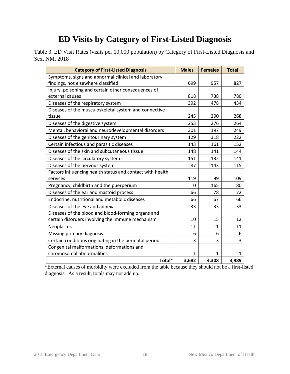<span id="page-17-0"></span>Table 3. ED Visit Rates (visits per 10,000 population) by Category of First-Listed Diagnosis and Sex, NM, 2018

| <b>Category of First-Listed Diagnosis</b>                 | <b>Males</b> | <b>Females</b> | <b>Total</b> |
|-----------------------------------------------------------|--------------|----------------|--------------|
| Symptoms, signs and abnormal clinical and laboratory      |              |                |              |
| findings, not elsewhere classified                        | 699          | 957            | 827          |
| Injury, poisoning and certain other consequences of       |              |                |              |
| external causes                                           | 818          | 738            | 780          |
| Diseases of the respiratory system                        | 392          | 478            | 434          |
| Diseases of the musculoskeletal system and connective     |              |                |              |
| tissue                                                    | 245          | 290            | 268          |
| Diseases of the digestive system                          | 253          | 276            | 264          |
| Mental, behavioral and neurodevelopmental disorders       | 301          | 197            | 249          |
| Diseases of the genitourinary system                      | 129          | 318            | 222          |
| Certain infectious and parasitic diseases                 | 143          | 161            | 152          |
| Diseases of the skin and subcutaneous tissue              | 148          | 141            | 144          |
| Diseases of the circulatory system                        | 151          | 132            | 141          |
| Diseases of the nervous system                            | 87           | 143            | 115          |
| Factors influencing health status and contact with health |              |                |              |
| services                                                  | 119          | 99             | 109          |
| Pregnancy, childbirth and the puerperium                  | 0            | 165            | 80           |
| Diseases of the ear and mastoid process                   | 66           | 78             | 72           |
| Endocrine, nutritional and metabolic diseases             | 66           | 67             | 66           |
| Diseases of the eye and adnexa                            | 33           | 33             | 33           |
| Diseases of the blood and blood-forming organs and        |              |                |              |
| certain disorders involving the immune mechanism          | 10           | 15             | 12           |
| Neoplasms                                                 | 11           | 11             | 11           |
| Missing primary diagnosis                                 | 6            | 6              | 6            |
| Certain conditions originating in the perinatal period    | 3            | 3              | 3            |
| Congenital malformations, deformations and                |              |                |              |
| chromosomal abnormalities                                 | $\mathbf{1}$ | $\mathbf{1}$   | $\mathbf{1}$ |
| Total*                                                    | 3,682        | 4,308          | 3,989        |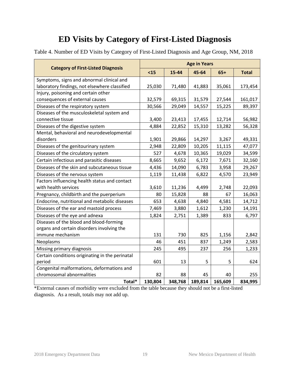<span id="page-18-0"></span>Table 4. Number of ED Visits by Category of First-Listed Diagnosis and Age Group, NM, 2018

|                                                 | <b>Age in Years</b> |         |         |         |              |  |  |
|-------------------------------------------------|---------------------|---------|---------|---------|--------------|--|--|
| <b>Category of First-Listed Diagnosis</b>       | $15$                | 15-44   | 45-64   | $65+$   | <b>Total</b> |  |  |
| Symptoms, signs and abnormal clinical and       |                     |         |         |         |              |  |  |
| laboratory findings, not elsewhere classified   | 25,030              | 71,480  | 41,883  | 35,061  | 173,454      |  |  |
| Injury, poisoning and certain other             |                     |         |         |         |              |  |  |
| consequences of external causes                 | 32,579              | 69,315  | 31,579  | 27,544  | 161,017      |  |  |
| Diseases of the respiratory system              | 30,566              | 29,049  | 14,557  | 15,225  | 89,397       |  |  |
| Diseases of the musculoskeletal system and      |                     |         |         |         |              |  |  |
| connective tissue                               | 3,400               | 23,413  | 17,455  | 12,714  | 56,982       |  |  |
| Diseases of the digestive system                | 4,884               | 22,852  | 15,310  | 13,282  | 56,328       |  |  |
| Mental, behavioral and neurodevelopmental       |                     |         |         |         |              |  |  |
| disorders                                       | 1,901               | 29,866  | 14,297  | 3,267   | 49,331       |  |  |
| Diseases of the genitourinary system            | 2,948               | 22,809  | 10,205  | 11,115  | 47,077       |  |  |
| Diseases of the circulatory system              | 527                 | 4,678   | 10,365  | 19,029  | 34,599       |  |  |
| Certain infectious and parasitic diseases       | 8,665               | 9,652   | 6,172   | 7,671   | 32,160       |  |  |
| Diseases of the skin and subcutaneous tissue    | 4,436               | 14,090  | 6,783   | 3,958   | 29,267       |  |  |
| Diseases of the nervous system                  | 1,119               | 11,438  | 6,822   | 4,570   | 23,949       |  |  |
| Factors influencing health status and contact   |                     |         |         |         |              |  |  |
| with health services                            | 3,610               | 11,236  | 4,499   | 2,748   | 22,093       |  |  |
| Pregnancy, childbirth and the puerperium        | 80                  | 15,828  | 88      | 67      | 16,063       |  |  |
| Endocrine, nutritional and metabolic diseases   | 653                 | 4,638   | 4,840   | 4,581   | 14,712       |  |  |
| Diseases of the ear and mastoid process         | 7,469               | 3,880   | 1,612   | 1,230   | 14,191       |  |  |
| Diseases of the eye and adnexa                  | 1,824               | 2,751   | 1,389   | 833     | 6,797        |  |  |
| Diseases of the blood and blood-forming         |                     |         |         |         |              |  |  |
| organs and certain disorders involving the      |                     |         |         |         |              |  |  |
| immune mechanism                                | 131                 | 730     | 825     | 1,156   | 2,842        |  |  |
| Neoplasms                                       | 46                  | 451     | 837     | 1,249   | 2,583        |  |  |
| Missing primary diagnosis                       | 245                 | 495     | 237     | 256     | 1,233        |  |  |
| Certain conditions originating in the perinatal |                     |         |         |         |              |  |  |
| period                                          | 601                 | 13      | 5       | 5       | 624          |  |  |
| Congenital malformations, deformations and      |                     |         |         |         |              |  |  |
| chromosomal abnormalities                       | 82                  | 88      | 45      | 40      | 255          |  |  |
| Total*                                          | 130,804             | 348,768 | 189,814 | 165,609 | 834,995      |  |  |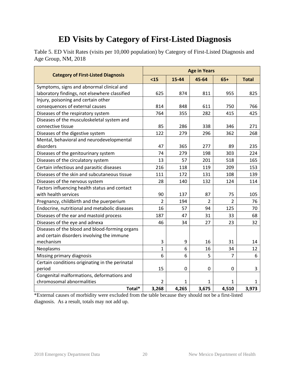<span id="page-19-0"></span>Table 5. ED Visit Rates (visits per 10,000 population) by Category of First-Listed Diagnosis and Age Group, NM, 2018

|                                                 | <b>Age in Years</b> |             |                |                |              |  |
|-------------------------------------------------|---------------------|-------------|----------------|----------------|--------------|--|
| <b>Category of First-Listed Diagnosis</b>       | $15$                | 15-44       | 45-64          | $65+$          | <b>Total</b> |  |
| Symptoms, signs and abnormal clinical and       |                     |             |                |                |              |  |
| laboratory findings, not elsewhere classified   | 625                 | 874         | 811            | 955            | 825          |  |
| Injury, poisoning and certain other             |                     |             |                |                |              |  |
| consequences of external causes                 | 814                 | 848         | 611            | 750            | 766          |  |
| Diseases of the respiratory system              | 764                 | 355         | 282            | 415            | 425          |  |
| Diseases of the musculoskeletal system and      |                     |             |                |                |              |  |
| connective tissue                               | 85                  | 286         | 338            | 346            | 271          |  |
| Diseases of the digestive system                | 122                 | 279         | 296            | 362            | 268          |  |
| Mental, behavioral and neurodevelopmental       |                     |             |                |                |              |  |
| disorders                                       | 47                  | 365         | 277            | 89             | 235          |  |
| Diseases of the genitourinary system            | 74                  | 279         | 198            | 303            | 224          |  |
| Diseases of the circulatory system              | 13                  | 57          | 201            | 518            | 165          |  |
| Certain infectious and parasitic diseases       | 216                 | 118         | 119            | 209            | 153          |  |
| Diseases of the skin and subcutaneous tissue    | 111                 | 172         | 131            | 108            | 139          |  |
| Diseases of the nervous system                  | 28                  | 140         | 132            | 124            | 114          |  |
| Factors influencing health status and contact   |                     |             |                |                |              |  |
| with health services                            | 90                  | 137         | 87             | 75             | 105          |  |
| Pregnancy, childbirth and the puerperium        | 2                   | 194         | $\overline{2}$ | $\overline{2}$ | 76           |  |
| Endocrine, nutritional and metabolic diseases   | 16                  | 57          | 94             | 125            | 70           |  |
| Diseases of the ear and mastoid process         | 187                 | 47          | 31             | 33             | 68           |  |
| Diseases of the eye and adnexa                  | 46                  | 34          | 27             | 23             | 32           |  |
| Diseases of the blood and blood-forming organs  |                     |             |                |                |              |  |
| and certain disorders involving the immune      |                     |             |                |                |              |  |
| mechanism                                       | 3                   | 9           | 16             | 31             | 14           |  |
| Neoplasms                                       | $\mathbf{1}$        | 6           | 16             | 34             | 12           |  |
| Missing primary diagnosis                       | 6                   | 6           | 5              | $\overline{7}$ | 6            |  |
| Certain conditions originating in the perinatal |                     |             |                |                |              |  |
| period                                          | 15                  | $\mathbf 0$ | 0              | 0              | 3            |  |
| Congenital malformations, deformations and      |                     |             |                |                |              |  |
| chromosomal abnormalities                       | $\overline{2}$      | 1           | 1              | 1              | 1            |  |
| Total*                                          | 3,268               | 4,265       | 3,675          | 4,510          | 3,973        |  |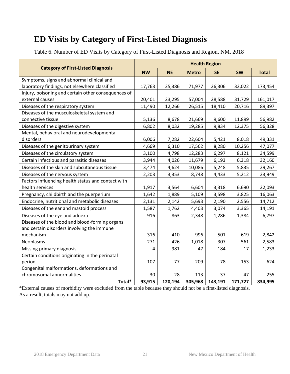<span id="page-20-0"></span>Table 6. Number of ED Visits by Category of First-Listed Diagnosis and Region, NM, 2018

|                                                     | <b>Health Region</b> |           |              |           |           |              |
|-----------------------------------------------------|----------------------|-----------|--------------|-----------|-----------|--------------|
| <b>Category of First-Listed Diagnosis</b>           | <b>NW</b>            | <b>NE</b> | <b>Metro</b> | <b>SE</b> | <b>SW</b> | <b>Total</b> |
| Symptoms, signs and abnormal clinical and           |                      |           |              |           |           |              |
| laboratory findings, not elsewhere classified       | 17,763               | 25,386    | 71,977       | 26,306    | 32,022    | 173,454      |
| Injury, poisoning and certain other consequences of |                      |           |              |           |           |              |
| external causes                                     | 20,401               | 23,295    | 57,004       | 28,588    | 31,729    | 161,017      |
| Diseases of the respiratory system                  | 11,490               | 12,266    | 26,515       | 18,410    | 20,716    | 89,397       |
| Diseases of the musculoskeletal system and          |                      |           |              |           |           |              |
| connective tissue                                   | 5,136                | 8,678     | 21,669       | 9,600     | 11,899    | 56,982       |
| Diseases of the digestive system                    | 6,802                | 8,032     | 19,285       | 9,834     | 12,375    | 56,328       |
| Mental, behavioral and neurodevelopmental           |                      |           |              |           |           |              |
| disorders                                           | 6,006                | 7,282     | 22,604       | 5,421     | 8,018     | 49,331       |
| Diseases of the genitourinary system                | 4,669                | 6,310     | 17,562       | 8,280     | 10,256    | 47,077       |
| Diseases of the circulatory system                  | 3,100                | 4,798     | 12,283       | 6,297     | 8,121     | 34,599       |
| Certain infectious and parasitic diseases           | 3,944                | 4,026     | 11,679       | 6,193     | 6,318     | 32,160       |
| Diseases of the skin and subcutaneous tissue        | 3,474                | 4,624     | 10,086       | 5,248     | 5,835     | 29,267       |
| Diseases of the nervous system                      | 2,203                | 3,353     | 8,748        | 4,433     | 5,212     | 23,949       |
| Factors influencing health status and contact with  |                      |           |              |           |           |              |
| health services                                     | 1,917                | 3,564     | 6,604        | 3,318     | 6,690     | 22,093       |
| Pregnancy, childbirth and the puerperium            | 1,642                | 1,889     | 5,109        | 3,598     | 3,825     | 16,063       |
| Endocrine, nutritional and metabolic diseases       | 2,131                | 2,142     | 5,693        | 2,190     | 2,556     | 14,712       |
| Diseases of the ear and mastoid process             | 1,587                | 1,762     | 4,403        | 3,074     | 3,365     | 14,191       |
| Diseases of the eye and adnexa                      | 916                  | 863       | 2,348        | 1,286     | 1,384     | 6,797        |
| Diseases of the blood and blood-forming organs      |                      |           |              |           |           |              |
| and certain disorders involving the immune          |                      |           |              |           |           |              |
| mechanism                                           | 316                  | 410       | 996          | 501       | 619       | 2,842        |
| Neoplasms                                           | 271                  | 426       | 1,018        | 307       | 561       | 2,583        |
| Missing primary diagnosis                           | 4                    | 981       | 47           | 184       | 17        | 1,233        |
| Certain conditions originating in the perinatal     |                      |           |              |           |           |              |
| period                                              | 107                  | 77        | 209          | 78        | 153       | 624          |
| Congenital malformations, deformations and          |                      |           |              |           |           |              |
| chromosomal abnormalities                           | 30                   | 28        | 113          | 37        | 47        | 255          |
| Total*                                              | 93,915               | 120,194   | 305,968      | 143,191   | 171,727   | 834,995      |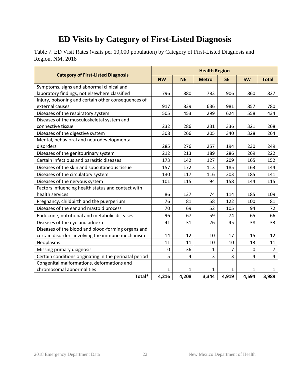<span id="page-21-0"></span>Table 7. ED Visit Rates (visits per 10,000 population) by Category of First-Listed Diagnosis and Region, NM, 2018

|                                                        | <b>Health Region</b> |                |                |           |              |              |
|--------------------------------------------------------|----------------------|----------------|----------------|-----------|--------------|--------------|
| <b>Category of First-Listed Diagnosis</b>              | <b>NW</b>            | <b>NE</b>      | <b>Metro</b>   | <b>SE</b> | <b>SW</b>    | <b>Total</b> |
| Symptoms, signs and abnormal clinical and              |                      |                |                |           |              |              |
| laboratory findings, not elsewhere classified          | 796                  | 880            | 783            | 906       | 860          | 827          |
| Injury, poisoning and certain other consequences of    |                      |                |                |           |              |              |
| external causes                                        | 917                  | 839            | 636            | 981       | 857          | 780          |
| Diseases of the respiratory system                     | 505                  | 453            | 299            | 624       | 558          | 434          |
| Diseases of the musculoskeletal system and             |                      |                |                |           |              |              |
| connective tissue                                      | 232                  | 286            | 231            | 336       | 321          | 268          |
| Diseases of the digestive system                       | 308                  | 266            | 205            | 340       | 328          | 264          |
| Mental, behavioral and neurodevelopmental              |                      |                |                |           |              |              |
| disorders                                              | 285                  | 276            | 257            | 194       | 230          | 249          |
| Diseases of the genitourinary system                   | 212                  | 213            | 189            | 286       | 269          | 222          |
| Certain infectious and parasitic diseases              | 173                  | 142            | 127            | 209       | 165          | 152          |
| Diseases of the skin and subcutaneous tissue           | 157                  | 172            | 113            | 185       | 163          | 144          |
| Diseases of the circulatory system                     | 130                  | 117            | 116            | 203       | 185          | 141          |
| Diseases of the nervous system                         | 101                  | 115            | 94             | 158       | 144          | 115          |
| Factors influencing health status and contact with     |                      |                |                |           |              |              |
| health services                                        | 86                   | 137            | 74             | 114       | 185          | 109          |
| Pregnancy, childbirth and the puerperium               | 76                   | 81             | 58             | 122       | 100          | 81           |
| Diseases of the ear and mastoid process                | 70                   | 69             | 52             | 105       | 94           | 72           |
| Endocrine, nutritional and metabolic diseases          | 96                   | 67             | 59             | 74        | 65           | 66           |
| Diseases of the eye and adnexa                         | 41                   | 31             | 26             | 45        | 38           | 33           |
| Diseases of the blood and blood-forming organs and     |                      |                |                |           |              |              |
| certain disorders involving the immune mechanism       | 14                   | 12             | 10             | 17        | 15           | 12           |
| Neoplasms                                              | 11                   | 11             | 10             | 10        | 13           | 11           |
| Missing primary diagnosis                              | 0                    | 36             | 1              | 7         | 0            | 7            |
| Certain conditions originating in the perinatal period | 5                    | $\overline{4}$ | $\overline{3}$ | 3         | 4            | 4            |
| Congenital malformations, deformations and             |                      |                |                |           |              |              |
| chromosomal abnormalities                              | 1                    | 1              | 1              | 1         | $\mathbf{1}$ | $\mathbf{1}$ |
| Total*                                                 | 4,216                | 4,208          | 3,344          | 4,919     | 4,594        | 3,989        |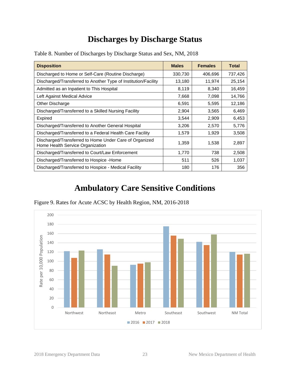#### **Discharges by Discharge Status**

| <b>Disposition</b>                                                                         | <b>Males</b> | <b>Females</b> | <b>Total</b> |
|--------------------------------------------------------------------------------------------|--------------|----------------|--------------|
| Discharged to Home or Self-Care (Routine Discharge)                                        | 330,730      | 406,696        | 737,426      |
| Discharged/Transferred to Another Type of Institution/Facility                             | 13,180       | 11,974         | 25,154       |
| Admitted as an Inpatient to This Hospital                                                  | 8,119        | 8,340          | 16,459       |
| Left Against Medical Advice                                                                | 7,668        | 7,098          | 14,766       |
| Other Discharge                                                                            | 6,591        | 5,595          | 12,186       |
| Discharged/Transferred to a Skilled Nursing Facility                                       | 2,904        | 3,565          | 6,469        |
| Expired                                                                                    | 3,544        | 2,909          | 6,453        |
| Discharged/Transferred to Another General Hospital                                         | 3,206        | 2,570          | 5,776        |
| Discharged/Transferred to a Federal Health Care Facility                                   | 1,579        | 1,929          | 3,508        |
| Discharged/Transferred to Home Under Care of Organized<br>Home Health Service Organization | 1,359        | 1,538          | 2,897        |
| Discharged/Transferred to Court/Law Enforcement                                            | 1,770        | 738            | 2,508        |
| Discharged/Transferred to Hospice -Home                                                    | 511          | 526            | 1,037        |
| Discharged/Transferred to Hospice - Medical Facility                                       | 180          | 176            | 356          |

<span id="page-22-1"></span><span id="page-22-0"></span>Table 8. Number of Discharges by Discharge Status and Sex, NM, 2018

### **Ambulatory Care Sensitive Conditions**

<span id="page-22-3"></span><span id="page-22-2"></span>

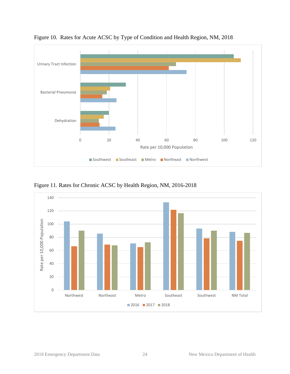

<span id="page-23-0"></span>Figure 10. Rates for Acute ACSC by Type of Condition and Health Region, NM, 2018

<span id="page-23-1"></span>Figure 11. Rates for Chronic ACSC by Health Region, NM, 2016-2018

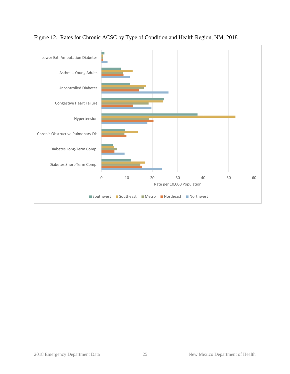

<span id="page-24-0"></span>Figure 12. Rates for Chronic ACSC by Type of Condition and Health Region, NM, 2018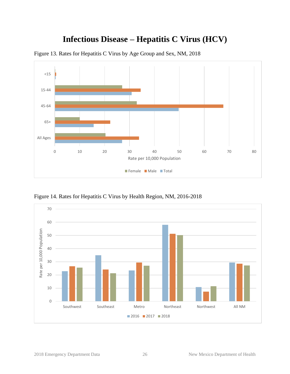### **Infectious Disease – Hepatitis C Virus (HCV)**



<span id="page-25-1"></span><span id="page-25-0"></span>Figure 13. Rates for Hepatitis C Virus by Age Group and Sex, NM, 2018

<span id="page-25-2"></span>Figure 14. Rates for Hepatitis C Virus by Health Region, NM, 2016-2018

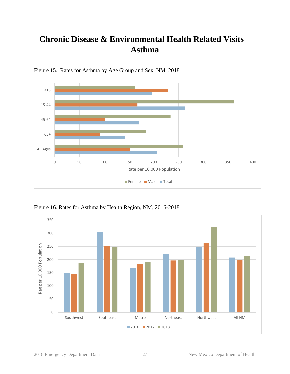### <span id="page-26-0"></span>**Chronic Disease & Environmental Health Related Visits – Asthma**



<span id="page-26-1"></span>Figure 15. Rates for Asthma by Age Group and Sex, NM, 2018

<span id="page-26-2"></span>Figure 16. Rates for Asthma by Health Region, NM, 2016-2018

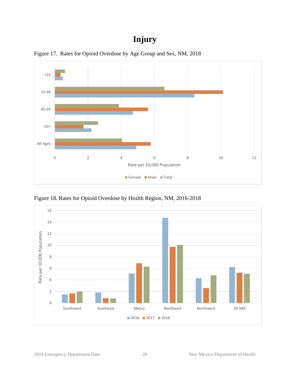### **Injury**



<span id="page-27-1"></span><span id="page-27-0"></span>Figure 17. Rates for Opioid Overdose by Age Group and Sex, NM, 2018

<span id="page-27-2"></span>Figure 18. Rates for Opioid Overdose by Health Region, NM, 2016-2018

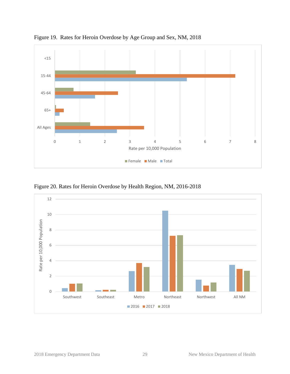

<span id="page-28-0"></span>Figure 19. Rates for Heroin Overdose by Age Group and Sex, NM, 2018

<span id="page-28-1"></span>Figure 20. Rates for Heroin Overdose by Health Region, NM, 2016-2018

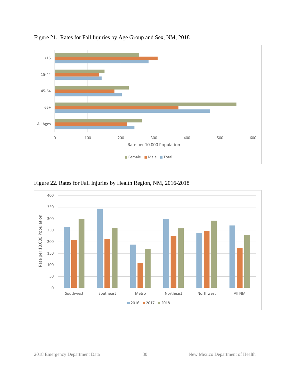

<span id="page-29-0"></span>Figure 21. Rates for Fall Injuries by Age Group and Sex, NM, 2018

<span id="page-29-1"></span>Figure 22. Rates for Fall Injuries by Health Region, NM, 2016-2018

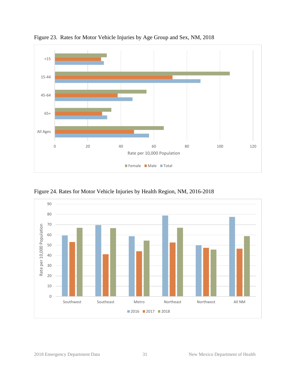

<span id="page-30-0"></span>Figure 23. Rates for Motor Vehicle Injuries by Age Group and Sex, NM, 2018

<span id="page-30-1"></span>Figure 24. Rates for Motor Vehicle Injuries by Health Region, NM, 2016-2018

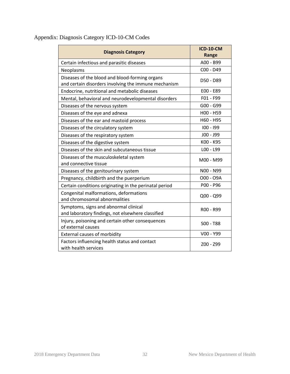| <b>Diagnosis Category</b>                                                                              | <b>ICD-10-CM</b><br>Range |
|--------------------------------------------------------------------------------------------------------|---------------------------|
| Certain infectious and parasitic diseases                                                              | A00 - B99                 |
| Neoplasms                                                                                              | C00 - D49                 |
| Diseases of the blood and blood-forming organs<br>and certain disorders involving the immune mechanism | D50 - D89                 |
| Endocrine, nutritional and metabolic diseases                                                          | E00 - E89                 |
| Mental, behavioral and neurodevelopmental disorders                                                    | F01 - F99                 |
| Diseases of the nervous system                                                                         | G00 - G99                 |
| Diseases of the eye and adnexa                                                                         | H00 - H59                 |
| Diseases of the ear and mastoid process                                                                | H60 - H95                 |
| Diseases of the circulatory system                                                                     | $100 - 199$               |
| Diseases of the respiratory system                                                                     | $JOO - J99$               |
| Diseases of the digestive system                                                                       | K00 - K95                 |
| Diseases of the skin and subcutaneous tissue                                                           | LOO - L99                 |
| Diseases of the musculoskeletal system<br>and connective tissue                                        | M00 - M99                 |
| Diseases of the genitourinary system                                                                   | N00 - N99                 |
| Pregnancy, childbirth and the puerperium                                                               | O00 - O9A                 |
| Certain conditions originating in the perinatal period                                                 | P00 - P96                 |
| Congenital malformations, deformations<br>and chromosomal abnormalities                                | Q00 - Q99                 |
| Symptoms, signs and abnormal clinical<br>and laboratory findings, not elsewhere classified             | R00 - R99                 |
| Injury, poisoning and certain other consequences<br>of external causes                                 | $SOO - T88$               |
| <b>External causes of morbidity</b>                                                                    | V00 - Y99                 |
| Factors influencing health status and contact<br>with health services                                  | Z00 - Z99                 |

#### <span id="page-31-0"></span>Appendix: Diagnosis Category ICD-10-CM Codes